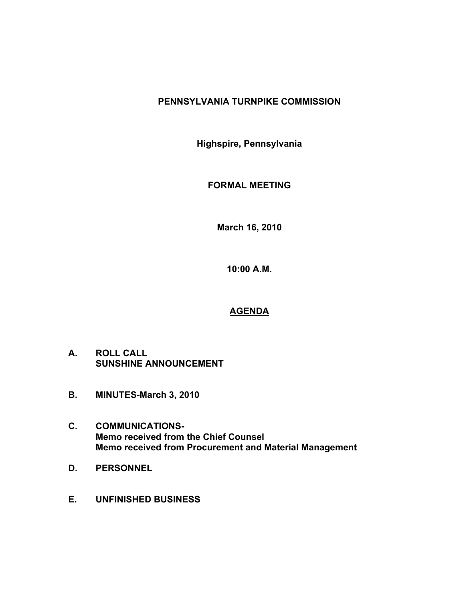# **PENNSYLVANIA TURNPIKE COMMISSION**

**Highspire, Pennsylvania**

**FORMAL MEETING**

**March 16, 2010**

**10:00 A.M.**

# **AGENDA**

- **A. ROLL CALL SUNSHINE ANNOUNCEMENT**
- **B. MINUTES-March 3, 2010**
- **C. COMMUNICATIONS-Memo received from the Chief Counsel Memo received from Procurement and Material Management**
- **D. PERSONNEL**
- **E. UNFINISHED BUSINESS**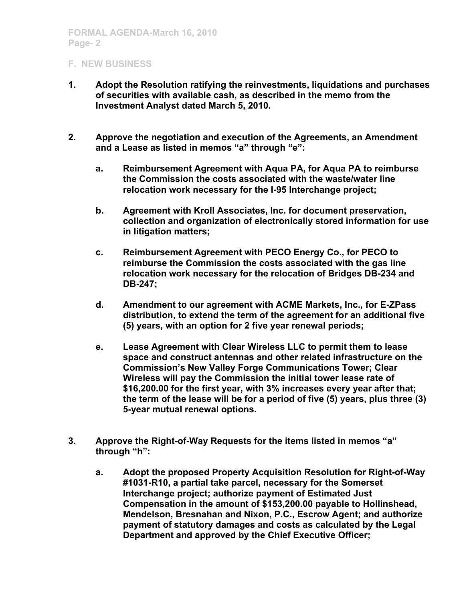- **1. Adopt the Resolution ratifying the reinvestments, liquidations and purchases of securities with available cash, as described in the memo from the Investment Analyst dated March 5, 2010.**
- **2. Approve the negotiation and execution of the Agreements, an Amendment and a Lease as listed in memos "a" through "e":**
	- **a. Reimbursement Agreement with Aqua PA, for Aqua PA to reimburse the Commission the costs associated with the waste/water line relocation work necessary for the I-95 Interchange project;**
	- **b. Agreement with Kroll Associates, Inc. for document preservation, collection and organization of electronically stored information for use in litigation matters;**
	- **c. Reimbursement Agreement with PECO Energy Co., for PECO to reimburse the Commission the costs associated with the gas line relocation work necessary for the relocation of Bridges DB-234 and DB-247;**
	- **d. Amendment to our agreement with ACME Markets, Inc., for E-ZPass distribution, to extend the term of the agreement for an additional five (5) years, with an option for 2 five year renewal periods;**
	- **e. Lease Agreement with Clear Wireless LLC to permit them to lease space and construct antennas and other related infrastructure on the Commission's New Valley Forge Communications Tower; Clear Wireless will pay the Commission the initial tower lease rate of \$16,200.00 for the first year, with 3% increases every year after that; the term of the lease will be for a period of five (5) years, plus three (3) 5-year mutual renewal options.**
- **3. Approve the Right-of-Way Requests for the items listed in memos "a" through "h":**
	- **a. Adopt the proposed Property Acquisition Resolution for Right-of-Way #1031-R10, a partial take parcel, necessary for the Somerset Interchange project; authorize payment of Estimated Just Compensation in the amount of \$153,200.00 payable to Hollinshead, Mendelson, Bresnahan and Nixon, P.C., Escrow Agent; and authorize payment of statutory damages and costs as calculated by the Legal Department and approved by the Chief Executive Officer;**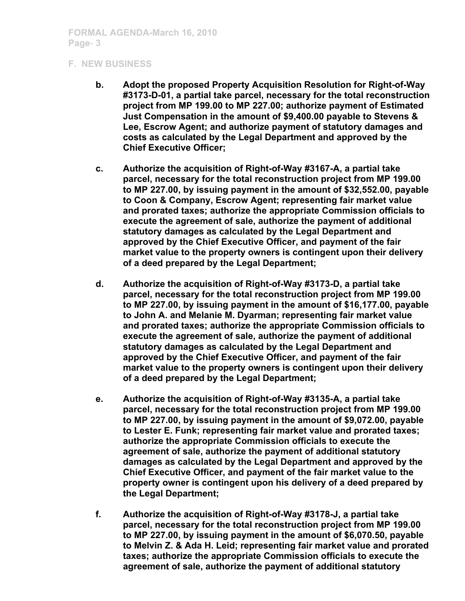- **b. Adopt the proposed Property Acquisition Resolution for Right-of-Way #3173-D-01, a partial take parcel, necessary for the total reconstruction project from MP 199.00 to MP 227.00; authorize payment of Estimated Just Compensation in the amount of \$9,400.00 payable to Stevens & Lee, Escrow Agent; and authorize payment of statutory damages and costs as calculated by the Legal Department and approved by the Chief Executive Officer;**
- **c. Authorize the acquisition of Right-of-Way #3167-A, a partial take parcel, necessary for the total reconstruction project from MP 199.00 to MP 227.00, by issuing payment in the amount of \$32,552.00, payable to Coon & Company, Escrow Agent; representing fair market value and prorated taxes; authorize the appropriate Commission officials to execute the agreement of sale, authorize the payment of additional statutory damages as calculated by the Legal Department and approved by the Chief Executive Officer, and payment of the fair market value to the property owners is contingent upon their delivery of a deed prepared by the Legal Department;**
- **d. Authorize the acquisition of Right-of-Way #3173-D, a partial take parcel, necessary for the total reconstruction project from MP 199.00 to MP 227.00, by issuing payment in the amount of \$16,177.00, payable to John A. and Melanie M. Dyarman; representing fair market value and prorated taxes; authorize the appropriate Commission officials to execute the agreement of sale, authorize the payment of additional statutory damages as calculated by the Legal Department and approved by the Chief Executive Officer, and payment of the fair market value to the property owners is contingent upon their delivery of a deed prepared by the Legal Department;**
- **e. Authorize the acquisition of Right-of-Way #3135-A, a partial take parcel, necessary for the total reconstruction project from MP 199.00 to MP 227.00, by issuing payment in the amount of \$9,072.00, payable to Lester E. Funk; representing fair market value and prorated taxes; authorize the appropriate Commission officials to execute the agreement of sale, authorize the payment of additional statutory damages as calculated by the Legal Department and approved by the Chief Executive Officer, and payment of the fair market value to the property owner is contingent upon his delivery of a deed prepared by the Legal Department;**
- **f. Authorize the acquisition of Right-of-Way #3178-J, a partial take parcel, necessary for the total reconstruction project from MP 199.00 to MP 227.00, by issuing payment in the amount of \$6,070.50, payable to Melvin Z. & Ada H. Leid; representing fair market value and prorated taxes; authorize the appropriate Commission officials to execute the agreement of sale, authorize the payment of additional statutory**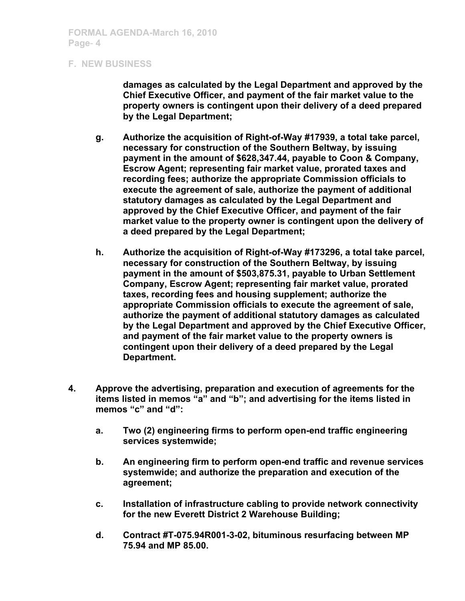**damages as calculated by the Legal Department and approved by the Chief Executive Officer, and payment of the fair market value to the property owners is contingent upon their delivery of a deed prepared by the Legal Department;**

- **g. Authorize the acquisition of Right-of-Way #17939, a total take parcel, necessary for construction of the Southern Beltway, by issuing payment in the amount of \$628,347.44, payable to Coon & Company, Escrow Agent; representing fair market value, prorated taxes and recording fees; authorize the appropriate Commission officials to execute the agreement of sale, authorize the payment of additional statutory damages as calculated by the Legal Department and approved by the Chief Executive Officer, and payment of the fair market value to the property owner is contingent upon the delivery of a deed prepared by the Legal Department;**
- **h. Authorize the acquisition of Right-of-Way #173296, a total take parcel, necessary for construction of the Southern Beltway, by issuing payment in the amount of \$503,875.31, payable to Urban Settlement Company, Escrow Agent; representing fair market value, prorated taxes, recording fees and housing supplement; authorize the appropriate Commission officials to execute the agreement of sale, authorize the payment of additional statutory damages as calculated by the Legal Department and approved by the Chief Executive Officer, and payment of the fair market value to the property owners is contingent upon their delivery of a deed prepared by the Legal Department.**
- **4. Approve the advertising, preparation and execution of agreements for the items listed in memos "a" and "b"; and advertising for the items listed in memos "c" and "d":**
	- **a. Two (2) engineering firms to perform open-end traffic engineering services systemwide;**
	- **b. An engineering firm to perform open-end traffic and revenue services systemwide; and authorize the preparation and execution of the agreement;**
	- **c. Installation of infrastructure cabling to provide network connectivity for the new Everett District 2 Warehouse Building;**
	- **d. Contract #T-075.94R001-3-02, bituminous resurfacing between MP 75.94 and MP 85.00.**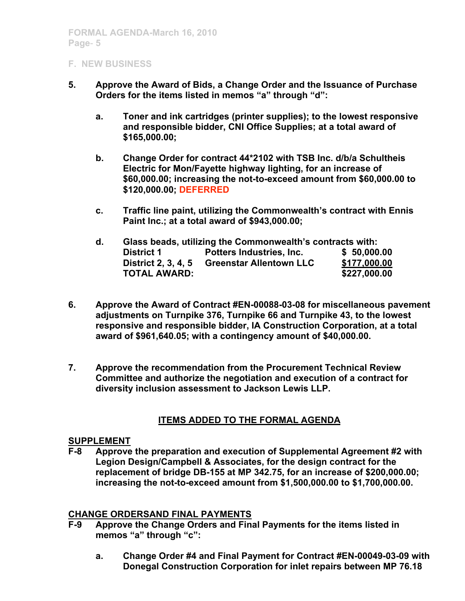- **5. Approve the Award of Bids, a Change Order and the Issuance of Purchase Orders for the items listed in memos "a" through "d":**
	- **a. Toner and ink cartridges (printer supplies); to the lowest responsive and responsible bidder, CNI Office Supplies; at a total award of \$165,000.00;**
	- **b. Change Order for contract 44\*2102 with TSB Inc. d/b/a Schultheis Electric for Mon/Fayette highway lighting, for an increase of \$60,000.00; increasing the not-to-exceed amount from \$60,000.00 to \$120,000.00; DEFERRED**
	- **c. Traffic line paint, utilizing the Commonwealth's contract with Ennis Paint Inc.; at a total award of \$943,000.00;**

| d. | Glass beads, utilizing the Commonwealth's contracts with: |                                |              |
|----|-----------------------------------------------------------|--------------------------------|--------------|
|    | <b>District 1</b>                                         | Potters Industries, Inc.       | \$50,000.00  |
|    | <b>District 2, 3, 4, 5</b>                                | <b>Greenstar Allentown LLC</b> | \$177,000.00 |
|    | <b>TOTAL AWARD:</b>                                       |                                | \$227,000.00 |

- **6. Approve the Award of Contract #EN-00088-03-08 for miscellaneous pavement adjustments on Turnpike 376, Turnpike 66 and Turnpike 43, to the lowest responsive and responsible bidder, IA Construction Corporation, at a total award of \$961,640.05; with a contingency amount of \$40,000.00.**
- **7. Approve the recommendation from the Procurement Technical Review Committee and authorize the negotiation and execution of a contract for diversity inclusion assessment to Jackson Lewis LLP.**

# **ITEMS ADDED TO THE FORMAL AGENDA**

## **SUPPLEMENT**

**F-8 Approve the preparation and execution of Supplemental Agreement #2 with Legion Design/Campbell & Associates, for the design contract for the replacement of bridge DB-155 at MP 342.75, for an increase of \$200,000.00; increasing the not-to-exceed amount from \$1,500,000.00 to \$1,700,000.00.**

#### **CHANGE ORDERSAND FINAL PAYMENTS**

- **F-9 Approve the Change Orders and Final Payments for the items listed in memos "a" through "c":**
	- **a. Change Order #4 and Final Payment for Contract #EN-00049-03-09 with Donegal Construction Corporation for inlet repairs between MP 76.18**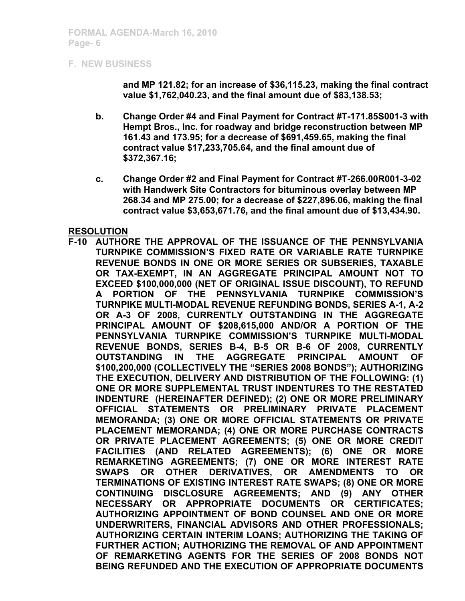**and MP 121.82; for an increase of \$36,115.23, making the final contract value \$1,762,040.23, and the final amount due of \$83,138.53;**

- **b. Change Order #4 and Final Payment for Contract #T-171.85S001-3 with Hempt Bros., Inc. for roadway and bridge reconstruction between MP 161.43 and 173.95; for a decrease of \$691,459.65, making the final contract value \$17,233,705.64, and the final amount due of \$372,367.16;**
- **c. Change Order #2 and Final Payment for Contract #T-266.00R001-3-02 with Handwerk Site Contractors for bituminous overlay between MP 268.34 and MP 275.00; for a decrease of \$227,896.06, making the final contract value \$3,653,671.76, and the final amount due of \$13,434.90.**

#### **RESOLUTION**

**F-10 AUTHORE THE APPROVAL OF THE ISSUANCE OF THE PENNSYLVANIA TURNPIKE COMMISSION'S FIXED RATE OR VARIABLE RATE TURNPIKE REVENUE BONDS IN ONE OR MORE SERIES OR SUBSERIES, TAXABLE OR TAX-EXEMPT, IN AN AGGREGATE PRINCIPAL AMOUNT NOT TO EXCEED \$100,000,000 (NET OF ORIGINAL ISSUE DISCOUNT), TO REFUND A PORTION OF THE PENNSYLVANIA TURNPIKE COMMISSION'S TURNPIKE MULTI-MODAL REVENUE REFUNDING BONDS, SERIES A-1, A-2 OR A-3 OF 2008, CURRENTLY OUTSTANDING IN THE AGGREGATE PRINCIPAL AMOUNT OF \$208,615,000 AND/OR A PORTION OF THE PENNSYLVANIA TURNPIKE COMMISSION'S TURNPIKE MULTI-MODAL REVENUE BONDS, SERIES B-4, B-5 OR B-6 OF 2008, CURRENTLY OUTSTANDING IN THE AGGREGATE PRINCIPAL AMOUNT OF \$100,200,000 (COLLECTIVELY THE "SERIES 2008 BONDS"); AUTHORIZING THE EXECUTION, DELIVERY AND DISTRIBUTION OF THE FOLLOWING: (1) ONE OR MORE SUPPLEMENTAL TRUST INDENTURES TO THE RESTATED INDENTURE (HEREINAFTER DEFINED); (2) ONE OR MORE PRELIMINARY OFFICIAL STATEMENTS OR PRELIMINARY PRIVATE PLACEMENT MEMORANDA; (3) ONE OR MORE OFFICIAL STATEMENTS OR PRIVATE PLACEMENT MEMORANDA; (4) ONE OR MORE PURCHASE CONTRACTS OR PRIVATE PLACEMENT AGREEMENTS; (5) ONE OR MORE CREDIT FACILITIES (AND RELATED AGREEMENTS); (6) ONE OR MORE REMARKETING AGREEMENTS; (7) ONE OR MORE INTEREST RATE SWAPS OR OTHER DERIVATIVES, OR AMENDMENTS TO OR TERMINATIONS OF EXISTING INTEREST RATE SWAPS; (8) ONE OR MORE CONTINUING DISCLOSURE AGREEMENTS; AND (9) ANY OTHER NECESSARY OR APPROPRIATE DOCUMENTS OR CERTIFICATES; AUTHORIZING APPOINTMENT OF BOND COUNSEL AND ONE OR MORE UNDERWRITERS, FINANCIAL ADVISORS AND OTHER PROFESSIONALS; AUTHORIZING CERTAIN INTERIM LOANS; AUTHORIZING THE TAKING OF FURTHER ACTION; AUTHORIZING THE REMOVAL OF AND APPOINTMENT OF REMARKETING AGENTS FOR THE SERIES OF 2008 BONDS NOT BEING REFUNDED AND THE EXECUTION OF APPROPRIATE DOCUMENTS**